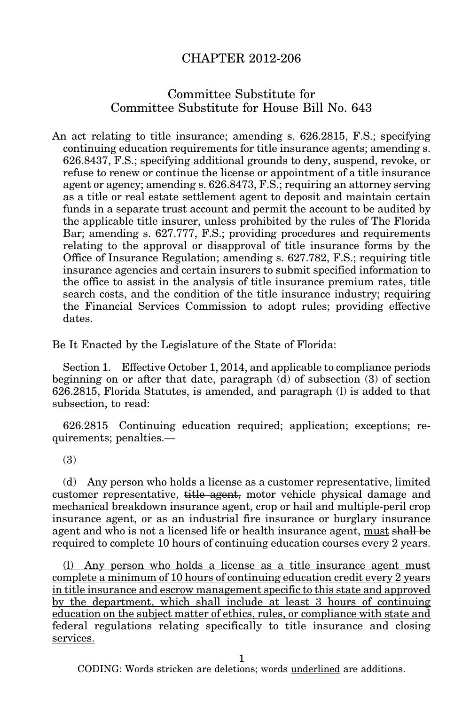## CHAPTER 2012-206

## Committee Substitute for Committee Substitute for House Bill No. 643

An act relating to title insurance; amending s. 626.2815, F.S.; specifying continuing education requirements for title insurance agents; amending s. 626.8437, F.S.; specifying additional grounds to deny, suspend, revoke, or refuse to renew or continue the license or appointment of a title insurance agent or agency; amending s. 626.8473, F.S.; requiring an attorney serving as a title or real estate settlement agent to deposit and maintain certain funds in a separate trust account and permit the account to be audited by the applicable title insurer, unless prohibited by the rules of The Florida Bar; amending s. 627.777, F.S.; providing procedures and requirements relating to the approval or disapproval of title insurance forms by the Office of Insurance Regulation; amending s. 627.782, F.S.; requiring title insurance agencies and certain insurers to submit specified information to the office to assist in the analysis of title insurance premium rates, title search costs, and the condition of the title insurance industry; requiring the Financial Services Commission to adopt rules; providing effective dates.

Be It Enacted by the Legislature of the State of Florida:

Section 1. Effective October 1, 2014, and applicable to compliance periods beginning on or after that date, paragraph (d) of subsection (3) of section 626.2815, Florida Statutes, is amended, and paragraph (l) is added to that subsection, to read:

626.2815 Continuing education required; application; exceptions; requirements; penalties.—

(3)

(d) Any person who holds a license as a customer representative, limited customer representative, title agent, motor vehicle physical damage and mechanical breakdown insurance agent, crop or hail and multiple-peril crop insurance agent, or as an industrial fire insurance or burglary insurance agent and who is not a licensed life or health insurance agent, must shall be required to complete 10 hours of continuing education courses every 2 years.

(l) Any person who holds a license as a title insurance agent must complete a minimum of 10 hours of continuing education credit every 2 years in title insurance and escrow management specific to this state and approved by the department, which shall include at least 3 hours of continuing education on the subject matter of ethics, rules, or compliance with state and federal regulations relating specifically to title insurance and closing services.

1

CODING: Words stricken are deletions; words underlined are additions.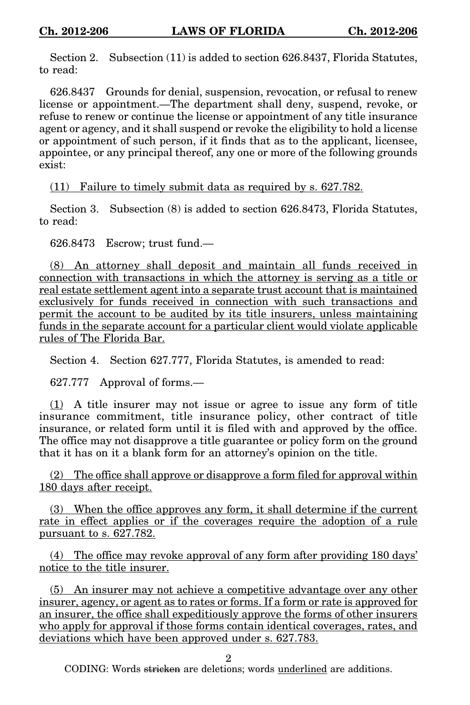Section 2. Subsection (11) is added to section 626.8437, Florida Statutes, to read:

626.8437 Grounds for denial, suspension, revocation, or refusal to renew license or appointment.—The department shall deny, suspend, revoke, or refuse to renew or continue the license or appointment of any title insurance agent or agency, and it shall suspend or revoke the eligibility to hold a license or appointment of such person, if it finds that as to the applicant, licensee, appointee, or any principal thereof, any one or more of the following grounds exist:

(11) Failure to timely submit data as required by s. 627.782.

Section 3. Subsection (8) is added to section 626.8473, Florida Statutes, to read:

626.8473 Escrow; trust fund.—

(8) An attorney shall deposit and maintain all funds received in connection with transactions in which the attorney is serving as a title or real estate settlement agent into a separate trust account that is maintained exclusively for funds received in connection with such transactions and permit the account to be audited by its title insurers, unless maintaining funds in the separate account for a particular client would violate applicable rules of The Florida Bar.

Section 4. Section 627.777, Florida Statutes, is amended to read:

627.777 Approval of forms.—

(1) A title insurer may not issue or agree to issue any form of title insurance commitment, title insurance policy, other contract of title insurance, or related form until it is filed with and approved by the office. The office may not disapprove a title guarantee or policy form on the ground that it has on it a blank form for an attorney's opinion on the title.

(2) The office shall approve or disapprove a form filed for approval within 180 days after receipt.

(3) When the office approves any form, it shall determine if the current rate in effect applies or if the coverages require the adoption of a rule pursuant to s. 627.782.

(4) The office may revoke approval of any form after providing 180 days' notice to the title insurer.

(5) An insurer may not achieve a competitive advantage over any other insurer, agency, or agent as to rates or forms. If a form or rate is approved for an insurer, the office shall expeditiously approve the forms of other insurers who apply for approval if those forms contain identical coverages, rates, and deviations which have been approved under s. 627.783.

2

CODING: Words stricken are deletions; words underlined are additions.